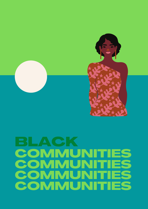

## BLACK COMMUN COMMUNITIES **COMMUNITIES<br>COMMUNITIES** COMMUNIT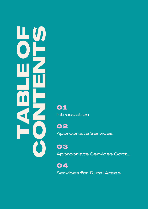HODD DD<br>DDD HODD<br>DDD HOODD<br>ADD HOO CONTENTS OF SAPPROVISHED SOLUTION OF SAPPROVISHED SOLUTION CONTENTS OF SAPPROVISHED SOLUTION CONTENTS OF SAPPROVISHED SAPPROVISHED SAPPROVISHED SAPPROVISHED SAPPROVISHED SAPPROVISHED SAPPROVISHED SAPPROVISHED SAPPROVISHED

Introduction

02 Appropriate Services

03 Appropriate Services Cont...

04 Services for Rural Areas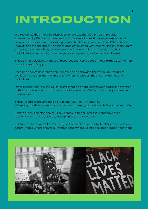# INTRODUCTION

We recognize that there are disproportionate experiences in health provision experienced by Black communities and individuals in health care systems. When it comes to attitudes towards seeking mental health services, more than 80% of black individuals are concerned with the stigma associcated with mental illness. Black Adults are alway 20% more likely to experience serious mental health issues , and Black individuals are more likely to report persistent symptoms of emotional distress.

This tip sheet displays a variety of resources that can be sought out immediately to help those in need of support.

Each page contains information Identifying and showing that there are resources available to the community and practitioners to support Black communities and individuals.

Rates of emotional psychological distress such as hopelessness and sadness have risen in Black communities due to the increasing number of individuals facing poverty and discrimination.

These resources provide tools to help address health inequities. We recognize the barriers that exist in health care systems towards Black communities.

From an inclusion standpoint, Black communities all over the world have been receiving more equal access to opportunities and resources.

For this tip sheet, we will be focusing on the health and mental health statues of these communities, where they're currently at and where we hope to guide support for them.

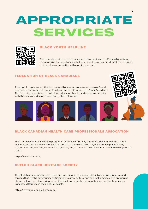# APPROPRIATE SERVICES



## **BLACK YOUTH HELPLINE**

Their mandate is to help the black youth community across Canada by assisting them to strive for opportunities that arise, break down barriers (mental or physical), and develop communities with a positive impact.

## **FEDERATION OF BLACK CANADIANS**

A non-profit organization, that is managed by several organizations across Canada to advance the social, political, cultural, and economic interests of Black Canadians. This federation also strives to build high education, health, and economic security with the focus of reducing racism and justice reforming.





### **BLACK CANADIAN HEALTH CARE PROFESSIONALS ASSOCATION**

This resource offers services and programs for black community members that aim to bring a more inclusive and sustainable health care system. This system contains; physicians nurse practitioners, support workers, dentists, counsellors, psychologists, and mental health workers who aim to support this cause.

https://www.bchcpa.ca/

## **GUELPH BLACK HERITAGE SOCIETY**

The Black heritage society aims to restore and maintain the black culture by offering programs and services that involve community participation to grow cultural and spiritual practices. This program is always looking for volunteering within the black community that want to join together to make an impactful difference in their cultural beliefs.

https://www.guelphblackheritage.ca/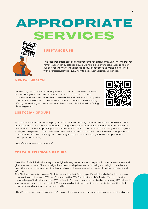# APPROPRIATE SERVICES



This resource offers services and programs for black community members that have trouble with substance abuse. Being able to offer such a wide range of support for the many influences is because they strive to make a difference with professionals who know how to cope with various substances.

Another big resource is community lead which aims to improve the health and wellbeing of black communities in Canada. This resource values collective work responsibilities that strive to build and maintain an empathic community. One of their main focuses is on Black mental health services, offering counselling and improvement plans for any black individual facing discouragement



## **LGBTQ2IA+ GROUPS**

This resource offers services and programs for black community members that have trouble with This organization is a non-profit organization, managed by several companies including the Northwestern health team that offers specific programs/services for racialized communities, including black. They offer a safe, secure space for individuals to express their concerns and aid with individual support, psychiatric consultation, and skills building, and their biggest support area is helping individuals apart of the LGBTQ2IA+ community.

<https://www.acrossboundaries.ca/>

## **CERTAIN RELIGIOUS GROUPS**

Over 75% of Black individuals say that religion is very important as it helps build cultural awareness and gives a sense of hope. Given this significant relationship between spirituality and religion, health care practitioners must be mindful of patients' religious observances to be more culturally competent and informed.

The Black community has over ¾ of its population that follows specific religious beliefs with the major composition coming from 79% non-Christian faiths, 53% Buddhist, and 14% Jewish. Within this wide marginal gap of individuals, about 83% believe in God and the certain while the remaining 17% believe in somewhat of the certain or not at all. The reason why it's important to note the statistics of the black community and religious communities is that

<https://www.pewresearch.org/religion/religious-landscape-study/racial-and-ethnic-composition/black/>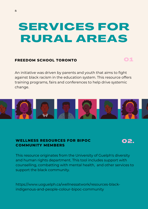# SERVICES FOR RURAL AREAS

## **FREEDOM SCHOOL TORONTO**

An initiative was driven by parents and youth that aims to fight against black racism in the education system. This resource offers training programs, fairs and conferences to help drive systemic change.



## **WELLNESS RESOURCES FOR BIPOC COMMUNITY MEMBERS**

02.

01

This resource originates from the University of Guelph's diversity and human rights department. This tool includes support with counselling, combatting with mental health, and other services to support the black community.

https://www.uoguelph.ca/wellnessatwork/resources-blackindigenous-and-people-colour-bipoc-community